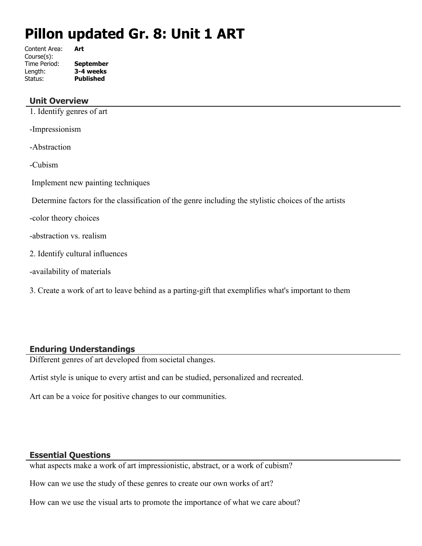# **Pillon updated Gr. 8: Unit 1 ART**

Content Area: **Art** Course(s): Time Period: **September** Length: **3-4 weeks** Status: **Published**

# **Unit Overview**

1. Identify genres of art

-Impressionism

-Abstraction

-Cubism

Implement new painting techniques

Determine factors for the classification of the genre including the stylistic choices of the artists

-color theory choices

-abstraction vs. realism

- 2. Identify cultural influences
- -availability of materials

3. Create a work of art to leave behind as a parting-gift that exemplifies what's important to them

# **Enduring Understandings**

Different genres of art developed from societal changes.

Artist style is unique to every artist and can be studied, personalized and recreated.

Art can be a voice for positive changes to our communities.

#### **Essential Questions**

what aspects make a work of art impressionistic, abstract, or a work of cubism?

How can we use the study of these genres to create our own works of art?

How can we use the visual arts to promote the importance of what we care about?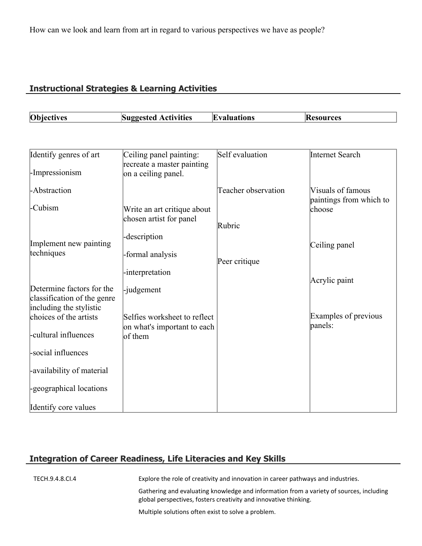# **Instructional Strategies & Learning Activities**

| <b>Objectives</b> | <b>Activities</b> | and institute the contract of the set of the set of the set of the set of the set of the set of the set of the | :sources |
|-------------------|-------------------|----------------------------------------------------------------------------------------------------------------|----------|
|                   | Suggested         | IH                                                                                                             | IKI      |
|                   |                   |                                                                                                                |          |

| Identify genres of art                                                              | Ceiling panel painting:                                     | Self evaluation     | Internet Search                              |
|-------------------------------------------------------------------------------------|-------------------------------------------------------------|---------------------|----------------------------------------------|
| -Impressionism                                                                      | recreate a master painting<br>on a ceiling panel.           |                     |                                              |
| -Abstraction                                                                        |                                                             | Teacher observation | Visuals of famous<br>paintings from which to |
| -Cubism                                                                             | Write an art critique about<br>chosen artist for panel      |                     | choose                                       |
|                                                                                     |                                                             | Rubric              |                                              |
| Implement new painting                                                              | -description                                                |                     | Ceiling panel                                |
| techniques                                                                          | -formal analysis                                            | Peer critique       |                                              |
|                                                                                     | -interpretation                                             |                     | Acrylic paint                                |
| Determine factors for the<br>classification of the genre<br>including the stylistic | -judgement                                                  |                     |                                              |
| choices of the artists                                                              | Selfies worksheet to reflect<br>on what's important to each |                     | Examples of previous<br>panels:              |
| -cultural influences                                                                | of them                                                     |                     |                                              |
| social influences                                                                   |                                                             |                     |                                              |
| -availability of material                                                           |                                                             |                     |                                              |
| egeographical locations                                                             |                                                             |                     |                                              |
| Identify core values                                                                |                                                             |                     |                                              |

# **Integration of Career Readiness, Life Literacies and Key Skills**

TECH.9.4.8.CI.4 Explore the role of creativity and innovation in career pathways and industries.

Gathering and evaluating knowledge and information from a variety of sources, including global perspectives, fosters creativity and innovative thinking.

Multiple solutions often exist to solve a problem.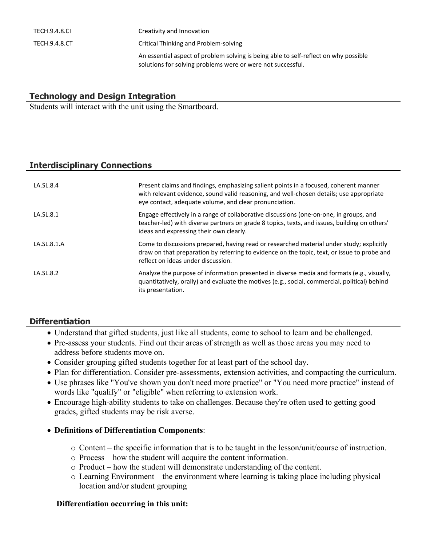| TECH.9.4.8.CL | Creativity and Innovation                                                                                                                           |
|---------------|-----------------------------------------------------------------------------------------------------------------------------------------------------|
| TECH.9.4.8.CT | Critical Thinking and Problem-solving                                                                                                               |
|               | An essential aspect of problem solving is being able to self-reflect on why possible<br>solutions for solving problems were or were not successful. |

# **Technology and Design Integration**

Students will interact with the unit using the Smartboard.

## **Interdisciplinary Connections**

| LA.SL.8.4   | Present claims and findings, emphasizing salient points in a focused, coherent manner<br>with relevant evidence, sound valid reasoning, and well-chosen details; use appropriate<br>eye contact, adequate volume, and clear pronunciation. |
|-------------|--------------------------------------------------------------------------------------------------------------------------------------------------------------------------------------------------------------------------------------------|
| LA.SL.8.1   | Engage effectively in a range of collaborative discussions (one-on-one, in groups, and<br>teacher-led) with diverse partners on grade 8 topics, texts, and issues, building on others'<br>ideas and expressing their own clearly.          |
| LA.SL.8.1.A | Come to discussions prepared, having read or researched material under study; explicitly<br>draw on that preparation by referring to evidence on the topic, text, or issue to probe and<br>reflect on ideas under discussion.              |
| LA.SL.8.2   | Analyze the purpose of information presented in diverse media and formats (e.g., visually,<br>quantitatively, orally) and evaluate the motives (e.g., social, commercial, political) behind<br>its presentation.                           |

# **Differentiation**

- Understand that gifted students, just like all students, come to school to learn and be challenged.
- Pre-assess your students. Find out their areas of strength as well as those areas you may need to address before students move on.
- Consider grouping gifted students together for at least part of the school day.
- Plan for differentiation. Consider pre-assessments, extension activities, and compacting the curriculum.
- Use phrases like "You've shown you don't need more practice" or "You need more practice" instead of words like "qualify" or "eligible" when referring to extension work.
- Encourage high-ability students to take on challenges. Because they're often used to getting good grades, gifted students may be risk averse.
- **Definitions of Differentiation Components**:
	- $\circ$  Content the specific information that is to be taught in the lesson/unit/course of instruction.
	- o Process how the student will acquire the content information.
	- o Product how the student will demonstrate understanding of the content.
	- o Learning Environment the environment where learning is taking place including physical location and/or student grouping

#### **Differentiation occurring in this unit:**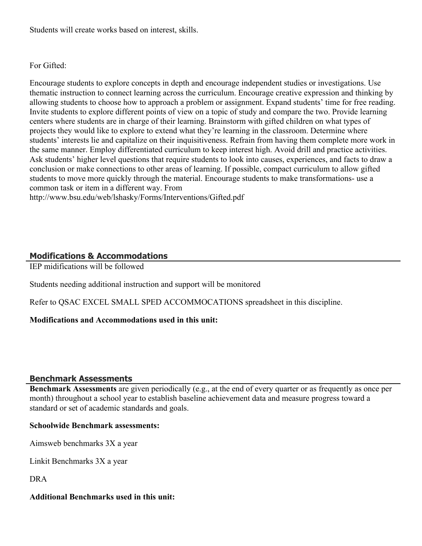Students will create works based on interest, skills.

#### For Gifted:

Encourage students to explore concepts in depth and encourage independent studies or investigations. Use thematic instruction to connect learning across the curriculum. Encourage creative expression and thinking by allowing students to choose how to approach a problem or assignment. Expand students' time for free reading. Invite students to explore different points of view on a topic of study and compare the two. Provide learning centers where students are in charge of their learning. Brainstorm with gifted children on what types of projects they would like to explore to extend what they're learning in the classroom. Determine where students' interests lie and capitalize on their inquisitiveness. Refrain from having them complete more work in the same manner. Employ differentiated curriculum to keep interest high. Avoid drill and practice activities. Ask students' higher level questions that require students to look into causes, experiences, and facts to draw a conclusion or make connections to other areas of learning. If possible, compact curriculum to allow gifted students to move more quickly through the material. Encourage students to make transformations- use a common task or item in a different way. From http://www.bsu.edu/web/lshasky/Forms/Interventions/Gifted.pdf

## **Modifications & Accommodations**

IEP midifications will be followed

Students needing additional instruction and support will be monitored

Refer to QSAC EXCEL SMALL SPED ACCOMMOCATIONS spreadsheet in this discipline.

#### **Modifications and Accommodations used in this unit:**

#### **Benchmark Assessments**

**Benchmark Assessments** are given periodically (e.g., at the end of every quarter or as frequently as once per month) throughout a school year to establish baseline achievement data and measure progress toward a standard or set of academic standards and goals.

#### **Schoolwide Benchmark assessments:**

Aimsweb benchmarks 3X a year

Linkit Benchmarks 3X a year

DRA

#### **Additional Benchmarks used in this unit:**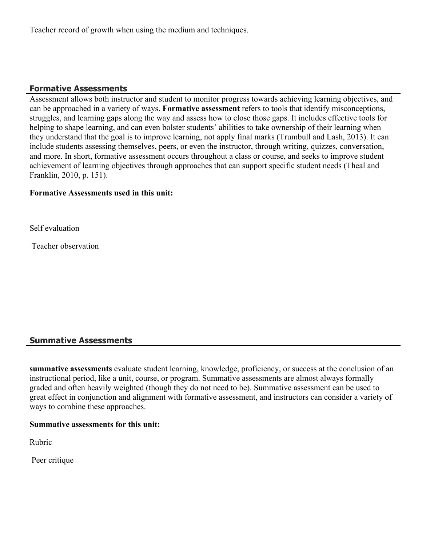Teacher record of growth when using the medium and techniques.

# **Formative Assessments**

Assessment allows both instructor and student to monitor progress towards achieving learning objectives, and can be approached in a variety of ways. **Formative assessment** refers to tools that identify misconceptions, struggles, and learning gaps along the way and assess how to close those gaps. It includes effective tools for helping to shape learning, and can even bolster students' abilities to take ownership of their learning when they understand that the goal is to improve learning, not apply final marks (Trumbull and Lash, 2013). It can include students assessing themselves, peers, or even the instructor, through writing, quizzes, conversation, and more. In short, formative assessment occurs throughout a class or course, and seeks to improve student achievement of learning objectives through approaches that can support specific student needs (Theal and Franklin, 2010, p. 151).

#### **Formative Assessments used in this unit:**

Self evaluation

Teacher observation

# **Summative Assessments**

**summative assessments** evaluate student learning, knowledge, proficiency, or success at the conclusion of an instructional period, like a unit, course, or program. Summative assessments are almost always formally graded and often heavily weighted (though they do not need to be). Summative assessment can be used to great effect in conjunction and alignment with formative assessment, and instructors can consider a variety of ways to combine these approaches.

#### **Summative assessments for this unit:**

Rubric

Peer critique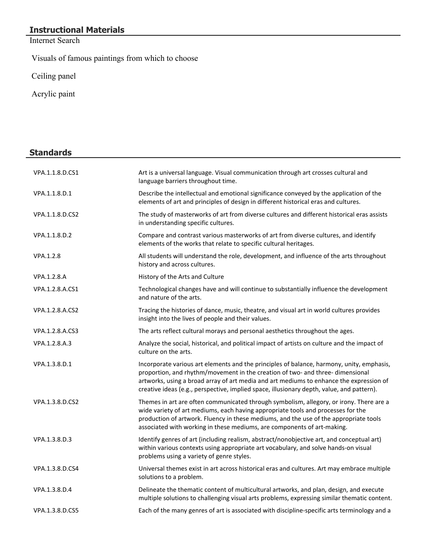# **Instructional Materials**

Internet Search

Visuals of famous paintings from which to choose

Ceiling panel

Acrylic paint

# **Standards**

| VPA.1.1.8.D.CS1 | Art is a universal language. Visual communication through art crosses cultural and<br>language barriers throughout time.                                                                                                                                                                                                                                           |
|-----------------|--------------------------------------------------------------------------------------------------------------------------------------------------------------------------------------------------------------------------------------------------------------------------------------------------------------------------------------------------------------------|
| VPA.1.1.8.D.1   | Describe the intellectual and emotional significance conveyed by the application of the<br>elements of art and principles of design in different historical eras and cultures.                                                                                                                                                                                     |
| VPA.1.1.8.D.CS2 | The study of masterworks of art from diverse cultures and different historical eras assists<br>in understanding specific cultures.                                                                                                                                                                                                                                 |
| VPA.1.1.8.D.2   | Compare and contrast various masterworks of art from diverse cultures, and identify<br>elements of the works that relate to specific cultural heritages.                                                                                                                                                                                                           |
| VPA.1.2.8       | All students will understand the role, development, and influence of the arts throughout<br>history and across cultures.                                                                                                                                                                                                                                           |
| VPA.1.2.8.A     | History of the Arts and Culture                                                                                                                                                                                                                                                                                                                                    |
| VPA.1.2.8.A.CS1 | Technological changes have and will continue to substantially influence the development<br>and nature of the arts.                                                                                                                                                                                                                                                 |
| VPA.1.2.8.A.CS2 | Tracing the histories of dance, music, theatre, and visual art in world cultures provides<br>insight into the lives of people and their values.                                                                                                                                                                                                                    |
| VPA.1.2.8.A.CS3 | The arts reflect cultural morays and personal aesthetics throughout the ages.                                                                                                                                                                                                                                                                                      |
| VPA.1.2.8.A.3   | Analyze the social, historical, and political impact of artists on culture and the impact of<br>culture on the arts.                                                                                                                                                                                                                                               |
| VPA.1.3.8.D.1   | Incorporate various art elements and the principles of balance, harmony, unity, emphasis,<br>proportion, and rhythm/movement in the creation of two- and three-dimensional<br>artworks, using a broad array of art media and art mediums to enhance the expression of<br>creative ideas (e.g., perspective, implied space, illusionary depth, value, and pattern). |
| VPA.1.3.8.D.CS2 | Themes in art are often communicated through symbolism, allegory, or irony. There are a<br>wide variety of art mediums, each having appropriate tools and processes for the<br>production of artwork. Fluency in these mediums, and the use of the appropriate tools<br>associated with working in these mediums, are components of art-making.                    |
| VPA.1.3.8.D.3   | Identify genres of art (including realism, abstract/nonobjective art, and conceptual art)<br>within various contexts using appropriate art vocabulary, and solve hands-on visual<br>problems using a variety of genre styles.                                                                                                                                      |
| VPA.1.3.8.D.CS4 | Universal themes exist in art across historical eras and cultures. Art may embrace multiple<br>solutions to a problem.                                                                                                                                                                                                                                             |
| VPA.1.3.8.D.4   | Delineate the thematic content of multicultural artworks, and plan, design, and execute<br>multiple solutions to challenging visual arts problems, expressing similar thematic content.                                                                                                                                                                            |
| VPA.1.3.8.D.CS5 | Each of the many genres of art is associated with discipline-specific arts terminology and a                                                                                                                                                                                                                                                                       |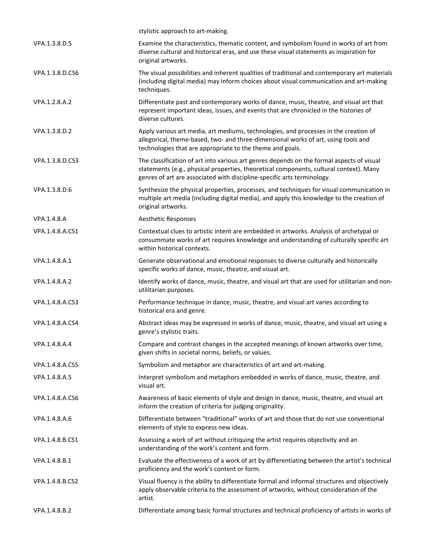|                 | stylistic approach to art-making.                                                                                                                                                                                                                              |
|-----------------|----------------------------------------------------------------------------------------------------------------------------------------------------------------------------------------------------------------------------------------------------------------|
| VPA.1.3.8.D.5   | Examine the characteristics, thematic content, and symbolism found in works of art from<br>diverse cultural and historical eras, and use these visual statements as inspiration for<br>original artworks.                                                      |
| VPA.1.3.8.D.CS6 | The visual possibilities and inherent qualities of traditional and contemporary art materials<br>(including digital media) may inform choices about visual communication and art-making<br>techniques.                                                         |
| VPA.1.2.8.A.2   | Differentiate past and contemporary works of dance, music, theatre, and visual art that<br>represent important ideas, issues, and events that are chronicled in the histories of<br>diverse cultures.                                                          |
| VPA.1.3.8.D.2   | Apply various art media, art mediums, technologies, and processes in the creation of<br>allegorical, theme-based, two- and three-dimensional works of art, using tools and<br>technologies that are appropriate to the theme and goals.                        |
| VPA.1.3.8.D.CS3 | The classification of art into various art genres depends on the formal aspects of visual<br>statements (e.g., physical properties, theoretical components, cultural context). Many<br>genres of art are associated with discipline-specific arts terminology. |
| VPA.1.3.8.D.6   | Synthesize the physical properties, processes, and techniques for visual communication in<br>multiple art media (including digital media), and apply this knowledge to the creation of<br>original artworks.                                                   |
| VPA.1.4.8.A     | <b>Aesthetic Responses</b>                                                                                                                                                                                                                                     |
| VPA.1.4.8.A.CS1 | Contextual clues to artistic intent are embedded in artworks. Analysis of archetypal or<br>consummate works of art requires knowledge and understanding of culturally specific art<br>within historical contexts.                                              |
| VPA.1.4.8.A.1   | Generate observational and emotional responses to diverse culturally and historically<br>specific works of dance, music, theatre, and visual art.                                                                                                              |
| VPA.1.4.8.A.2   | Identify works of dance, music, theatre, and visual art that are used for utilitarian and non-<br>utilitarian purposes.                                                                                                                                        |
| VPA.1.4.8.A.CS3 | Performance technique in dance, music, theatre, and visual art varies according to<br>historical era and genre.                                                                                                                                                |
| VPA.1.4.8.A.CS4 | Abstract ideas may be expressed in works of dance, music, theatre, and visual art using a<br>genre's stylistic traits.                                                                                                                                         |
| VPA.1.4.8.A.4   | Compare and contrast changes in the accepted meanings of known artworks over time,<br>given shifts in societal norms, beliefs, or values.                                                                                                                      |
| VPA.1.4.8.A.CS5 | Symbolism and metaphor are characteristics of art and art-making.                                                                                                                                                                                              |
| VPA.1.4.8.A.5   | Interpret symbolism and metaphors embedded in works of dance, music, theatre, and<br>visual art.                                                                                                                                                               |
| VPA.1.4.8.A.CS6 | Awareness of basic elements of style and design in dance, music, theatre, and visual art<br>inform the creation of criteria for judging originality.                                                                                                           |
| VPA.1.4.8.A.6   | Differentiate between "traditional" works of art and those that do not use conventional<br>elements of style to express new ideas.                                                                                                                             |
| VPA.1.4.8.B.CS1 | Assessing a work of art without critiquing the artist requires objectivity and an<br>understanding of the work's content and form.                                                                                                                             |
| VPA.1.4.8.B.1   | Evaluate the effectiveness of a work of art by differentiating between the artist's technical<br>proficiency and the work's content or form.                                                                                                                   |
| VPA.1.4.8.B.CS2 | Visual fluency is the ability to differentiate formal and informal structures and objectively<br>apply observable criteria to the assessment of artworks, without consideration of the<br>artist.                                                              |
| VPA.1.4.8.B.2   | Differentiate among basic formal structures and technical proficiency of artists in works of                                                                                                                                                                   |